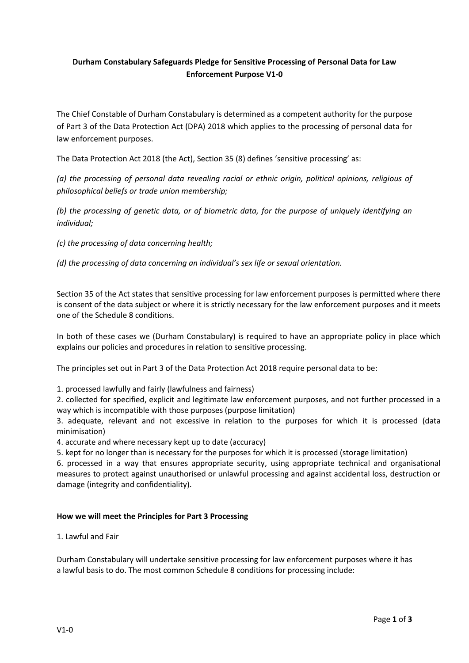# **Durham Constabulary Safeguards Pledge for Sensitive Processing of Personal Data for Law Enforcement Purpose V1-0**

The Chief Constable of Durham Constabulary is determined as a competent authority for the purpose of Part 3 of the Data Protection Act (DPA) 2018 which applies to the processing of personal data for law enforcement purposes.

The Data Protection Act 2018 (the Act), Section 35 (8) defines 'sensitive processing' as:

*(a) the processing of personal data revealing racial or ethnic origin, political opinions, religious of philosophical beliefs or trade union membership;*

*(b) the processing of genetic data, or of biometric data, for the purpose of uniquely identifying an individual;*

*(c) the processing of data concerning health;*

*(d) the processing of data concerning an individual's sex life or sexual orientation.*

Section 35 of the Act states that sensitive processing for law enforcement purposes is permitted where there is consent of the data subject or where it is strictly necessary for the law enforcement purposes and it meets one of the Schedule 8 conditions.

In both of these cases we (Durham Constabulary) is required to have an appropriate policy in place which explains our policies and procedures in relation to sensitive processing.

The principles set out in Part 3 of the Data Protection Act 2018 require personal data to be:

1. processed lawfully and fairly (lawfulness and fairness)

2. collected for specified, explicit and legitimate law enforcement purposes, and not further processed in a way which is incompatible with those purposes (purpose limitation)

3. adequate, relevant and not excessive in relation to the purposes for which it is processed (data minimisation)

4. accurate and where necessary kept up to date (accuracy)

5. kept for no longer than is necessary for the purposes for which it is processed (storage limitation)

6. processed in a way that ensures appropriate security, using appropriate technical and organisational measures to protect against unauthorised or unlawful processing and against accidental loss, destruction or damage (integrity and confidentiality).

### **How we will meet the Principles for Part 3 Processing**

1. Lawful and Fair

Durham Constabulary will undertake sensitive processing for law enforcement purposes where it has a lawful basis to do. The most common Schedule 8 conditions for processing include: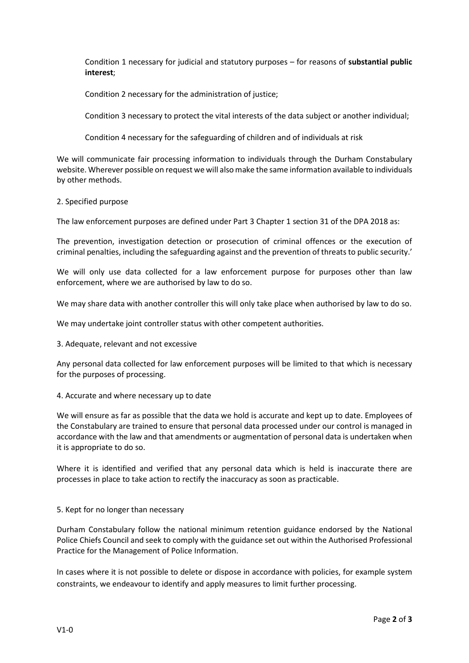Condition 1 necessary for judicial and statutory purposes – for reasons of **substantial public interest**;

Condition 2 necessary for the administration of justice;

Condition 3 necessary to protect the vital interests of the data subject or another individual;

Condition 4 necessary for the safeguarding of children and of individuals at risk

We will communicate fair processing information to individuals through the Durham Constabulary website. Wherever possible on request we will also make the same information available to individuals by other methods.

### 2. Specified purpose

The law enforcement purposes are defined under Part 3 Chapter 1 section 31 of the DPA 2018 as:

The prevention, investigation detection or prosecution of criminal offences or the execution of criminal penalties, including the safeguarding against and the prevention of threats to public security.'

We will only use data collected for a law enforcement purpose for purposes other than law enforcement, where we are authorised by law to do so.

We may share data with another controller this will only take place when authorised by law to do so.

We may undertake joint controller status with other competent authorities.

3. Adequate, relevant and not excessive

Any personal data collected for law enforcement purposes will be limited to that which is necessary for the purposes of processing.

### 4. Accurate and where necessary up to date

We will ensure as far as possible that the data we hold is accurate and kept up to date. Employees of the Constabulary are trained to ensure that personal data processed under our control is managed in accordance with the law and that amendments or augmentation of personal data is undertaken when it is appropriate to do so.

Where it is identified and verified that any personal data which is held is inaccurate there are processes in place to take action to rectify the inaccuracy as soon as practicable.

### 5. Kept for no longer than necessary

Durham Constabulary follow the national minimum retention guidance endorsed by the National Police Chiefs Council and seek to comply with the guidance set out within the Authorised Professional Practice for the Management of Police Information.

In cases where it is not possible to delete or dispose in accordance with policies, for example system constraints, we endeavour to identify and apply measures to limit further processing.